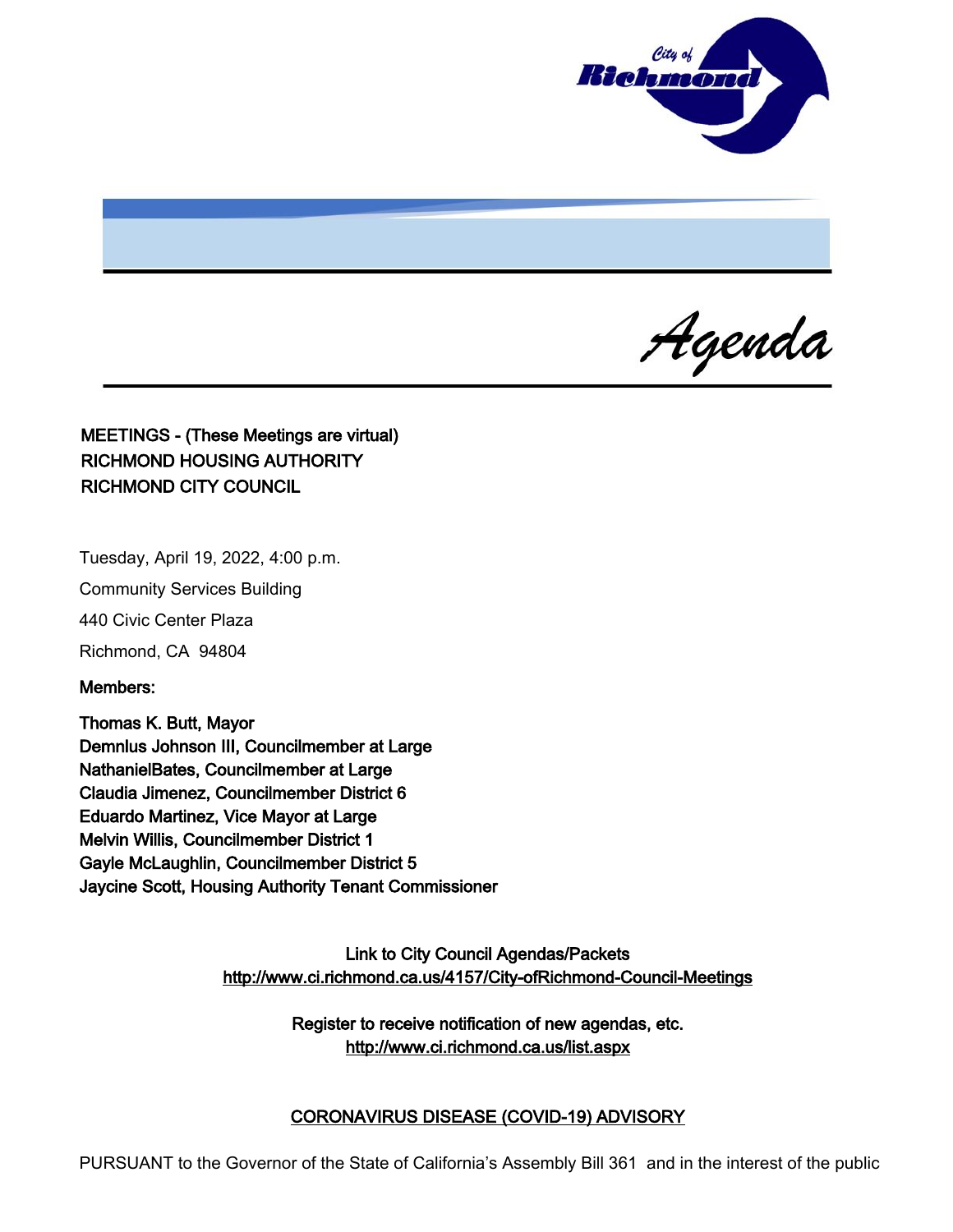

Agenda

MEETINGS - (These Meetings are virtual) RICHMOND HOUSING AUTHORITY RICHMOND CITY COUNCIL

Tuesday, April 19, 2022, 4:00 p.m.

Community Services Building

440 Civic Center Plaza

Richmond, CA 94804

Members:

Thomas K. Butt, Mayor Demnlus Johnson III, Councilmember at Large NathanielBates, Councilmember at Large Claudia Jimenez, Councilmember District 6 Eduardo Martinez, Vice Mayor at Large Melvin Willis, Councilmember District 1 Gayle McLaughlin, Councilmember District 5 Jaycine Scott, Housing Authority Tenant Commissioner

> Link to City Council Agendas/Packets <http://www.ci.richmond.ca.us/4157/City-ofRichmond-Council-Meetings>

> > Register to receive notification of new agendas, etc. <http://www.ci.richmond.ca.us/list.aspx>

## CORONAVIRUS DISEASE (COVID-19) ADVISORY

PURSUANT to the Governor of the State of California's Assembly Bill 361 and in the interest of the public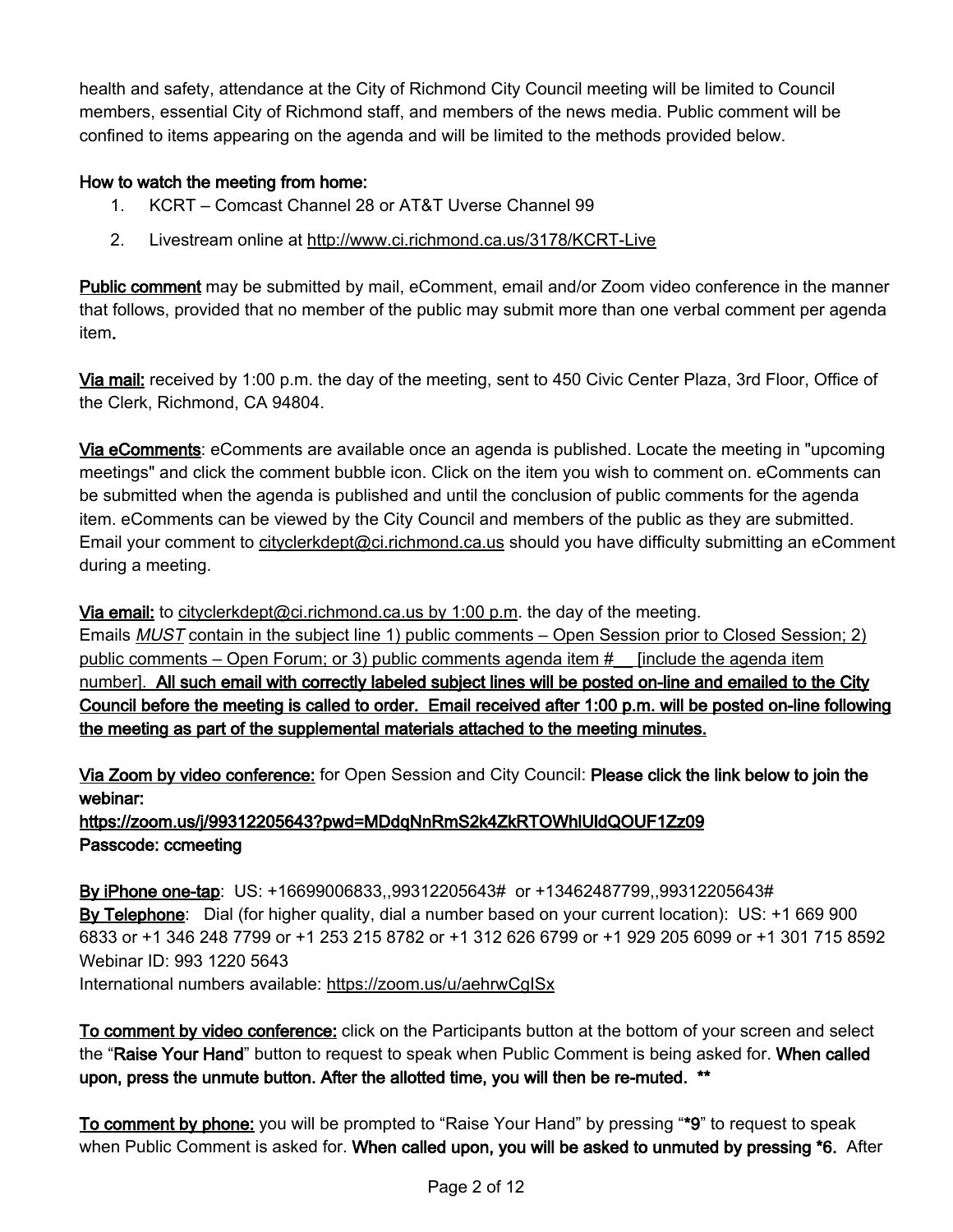health and safety, attendance at the City of Richmond City Council meeting will be limited to Council members, essential City of Richmond staff, and members of the news media. Public comment will be confined to items appearing on the agenda and will be limited to the methods provided below.

## How to watch the meeting from home:

- 1. KCRT Comcast Channel 28 or AT&T Uverse Channel 99
- 2. Livestream online at <http://www.ci.richmond.ca.us/3178/KCRT-Live>

Public comment may be submitted by mail, eComment, email and/or Zoom video conference in the manner that follows, provided that no member of the public may submit more than one verbal comment per agenda item.

Via mail: received by 1:00 p.m. the day of the meeting, sent to 450 Civic Center Plaza, 3rd Floor, Office of the Clerk, Richmond, CA 94804.

Via eComments: eComments are available once an agenda is published. Locate the meeting in "upcoming meetings" and click the comment bubble icon. Click on the item you wish to comment on. eComments can be submitted when the agenda is published and until the conclusion of public comments for the agenda item. eComments can be viewed by the City Council and members of the public as they are submitted. Email your comment to [cityclerkdept@ci.richmond.ca.us](mailto:cityclerkdept@ci.richmond.ca.us) should you have difficulty submitting an eComment during a meeting.

Via email: to [cityclerkdept@ci.richmond.ca.us](mailto:cityclerkdept@ci.richmond.ca.us) by 1:00 p.m. the day of the meeting. Emails MUST contain in the subject line 1) public comments – Open Session prior to Closed Session; 2) public comments – Open Forum; or 3) public comments agenda item #\_\_ [include the agenda item number]. All such email with correctly labeled subject lines will be posted on-line and emailed to the City Council before the meeting is called to order. Email received after 1:00 p.m. will be posted on-line following the meeting as part of the supplemental materials attached to the meeting minutes.

Via Zoom by video conference: for Open Session and City Council: Please click the link below to join the webinar:

https://zoom.us/j/99312205643?pwd=MDdqNnRmS2k4ZkRTOWhlUldQOUF1Zz09 Passcode: ccmeeting

By iPhone one-tap: US: +16699006833,,99312205643# or +13462487799,,99312205643# By Telephone: Dial (for higher quality, dial a number based on your current location): US: +1 669 900 6833 or +1 346 248 7799 or +1 253 215 8782 or +1 312 626 6799 or +1 929 205 6099 or +1 301 715 8592 Webinar ID: 993 1220 5643 International numbers available: <https://zoom.us/u/aehrwCgISx>

To comment by video conference: click on the Participants button at the bottom of your screen and select the "Raise Your Hand" button to request to speak when Public Comment is being asked for. When called upon, press the unmute button. After the allotted time, you will then be re-muted. \*\*

To comment by phone: you will be prompted to "Raise Your Hand" by pressing "\*9" to request to speak when Public Comment is asked for. When called upon, you will be asked to unmuted by pressing \*6. After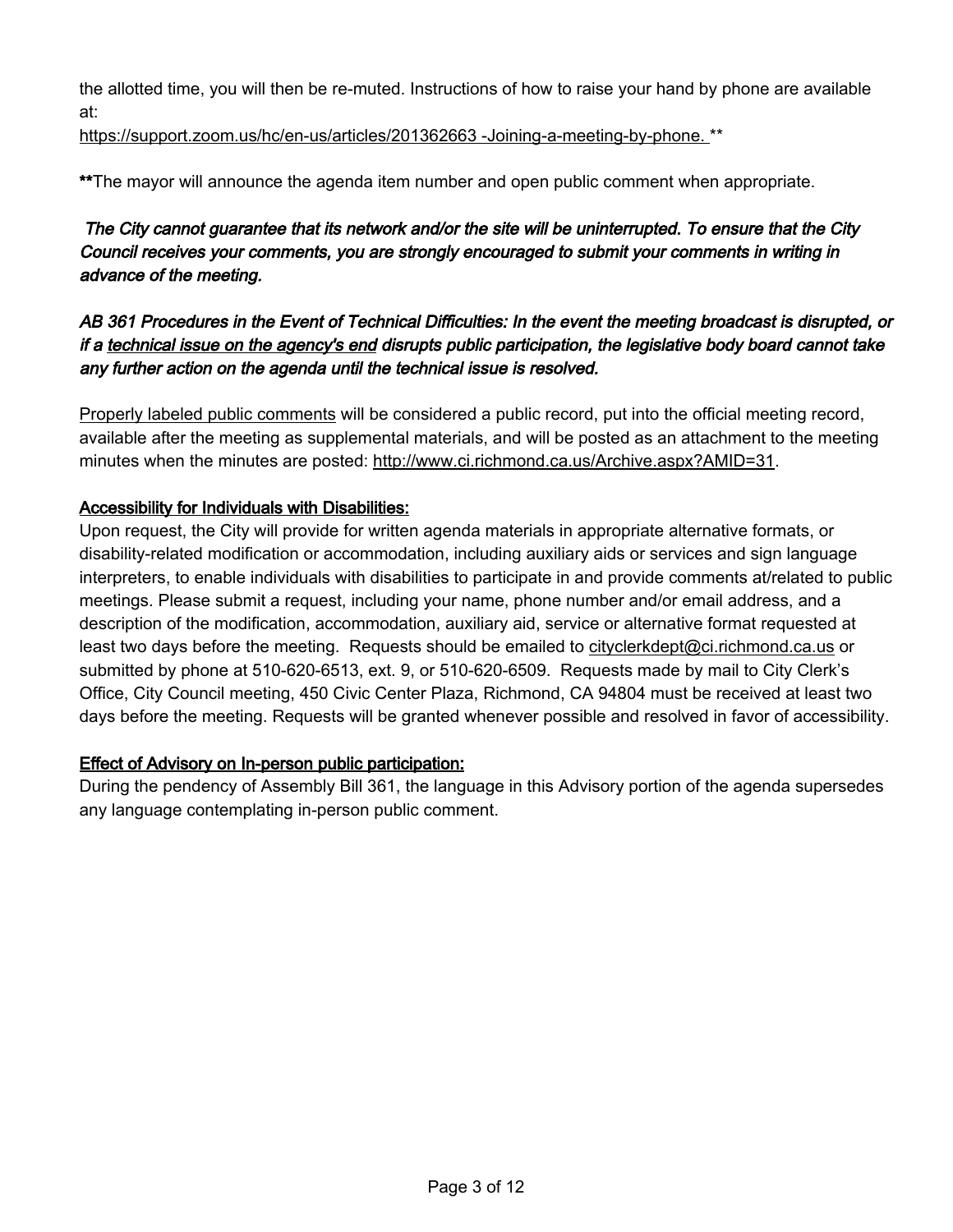the allotted time, you will then be re-muted. Instructions of how to raise your hand by phone are available at:

[https://support.zoom.us/hc/en-us/articles/201362663 -Joining-a-meeting-by-phone.](https://support.zoom.us/hc/en-us/articles/201362663%20-Joining-a-meeting-by-phone.) \*\*

\*\*The mayor will announce the agenda item number and open public comment when appropriate.

## The City cannot guarantee that its network and/or the site will be uninterrupted. To ensure that the City Council receives your comments, you are strongly encouraged to submit your comments in writing in advance of the meeting.

## AB 361 Procedures in the Event of Technical Difficulties: In the event the meeting broadcast is disrupted, or if a technical issue on the agency's end disrupts public participation, the legislative body board cannot take any further action on the agenda until the technical issue is resolved.

Properly labeled public comments will be considered a public record, put into the official meeting record, available after the meeting as supplemental materials, and will be posted as an attachment to the meeting minutes when the minutes are posted: [http://www.ci.richmond.ca.us/Archive.aspx?AMID=31.](http://www.ci.richmond.ca.us/Archive.aspx?AMID=31)

## Accessibility for Individuals with Disabilities:

Upon request, the City will provide for written agenda materials in appropriate alternative formats, or disability-related modification or accommodation, including auxiliary aids or services and sign language interpreters, to enable individuals with disabilities to participate in and provide comments at/related to public meetings. Please submit a request, including your name, phone number and/or email address, and a description of the modification, accommodation, auxiliary aid, service or alternative format requested at least two days before the meeting. Requests should be emailed to [cityclerkdept@ci.richmond.ca.us](mailto:cityclerkdept@ci.richmond.ca.us) or submitted by phone at 510-620-6513, ext. 9, or 510-620-6509. Requests made by mail to City Clerk's Office, City Council meeting, 450 Civic Center Plaza, Richmond, CA 94804 must be received at least two days before the meeting. Requests will be granted whenever possible and resolved in favor of accessibility.

## Effect of Advisory on In-person public participation:

During the pendency of Assembly Bill 361, the language in this Advisory portion of the agenda supersedes any language contemplating in-person public comment.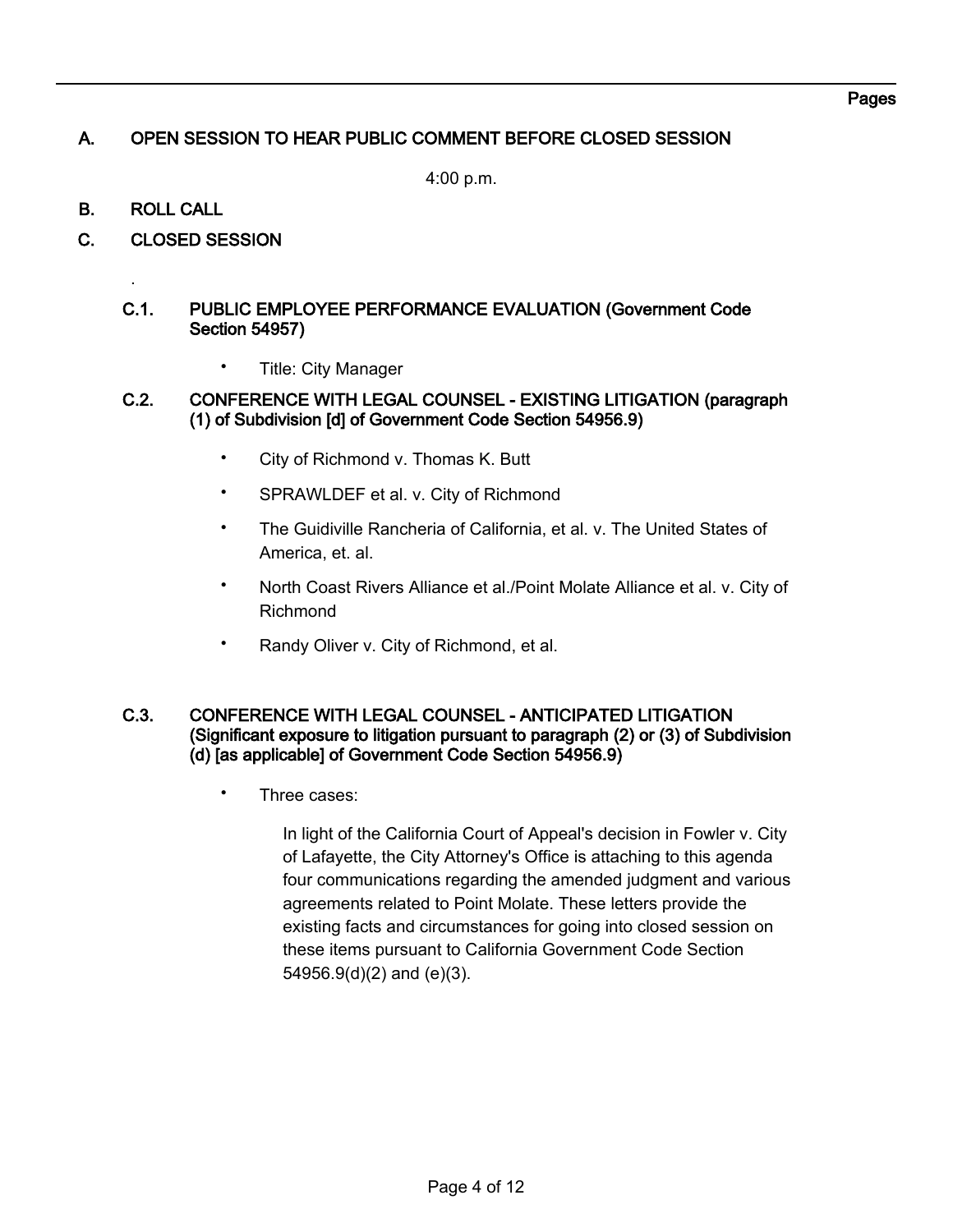## A. OPEN SESSION TO HEAR PUBLIC COMMENT BEFORE CLOSED SESSION

4:00 p.m.

## B. ROLL CALL

.

C. CLOSED SESSION

#### C.1. PUBLIC EMPLOYEE PERFORMANCE EVALUATION (Government Code Section 54957)

• Title: City Manager

#### C.2. CONFERENCE WITH LEGAL COUNSEL - EXISTING LITIGATION (paragraph (1) of Subdivision [d] of Government Code Section 54956.9)

- City of Richmond v. Thomas K. Butt
- SPRAWLDEF et al. v. City of Richmond
- The Guidiville Rancheria of California, et al. v. The United States of America, et. al.
- North Coast Rivers Alliance et al./Point Molate Alliance et al. v. City of Richmond
- Randy Oliver v. City of Richmond, et al.

#### C.3. CONFERENCE WITH LEGAL COUNSEL - ANTICIPATED LITIGATION (Significant exposure to litigation pursuant to paragraph (2) or (3) of Subdivision (d) [as applicable] of Government Code Section 54956.9)

Three cases:

In light of the California Court of Appeal's decision in Fowler v. City of Lafayette, the City Attorney's Office is attaching to this agenda four communications regarding the amended judgment and various agreements related to Point Molate. These letters provide the existing facts and circumstances for going into closed session on these items pursuant to California Government Code Section 54956.9(d)(2) and (e)(3).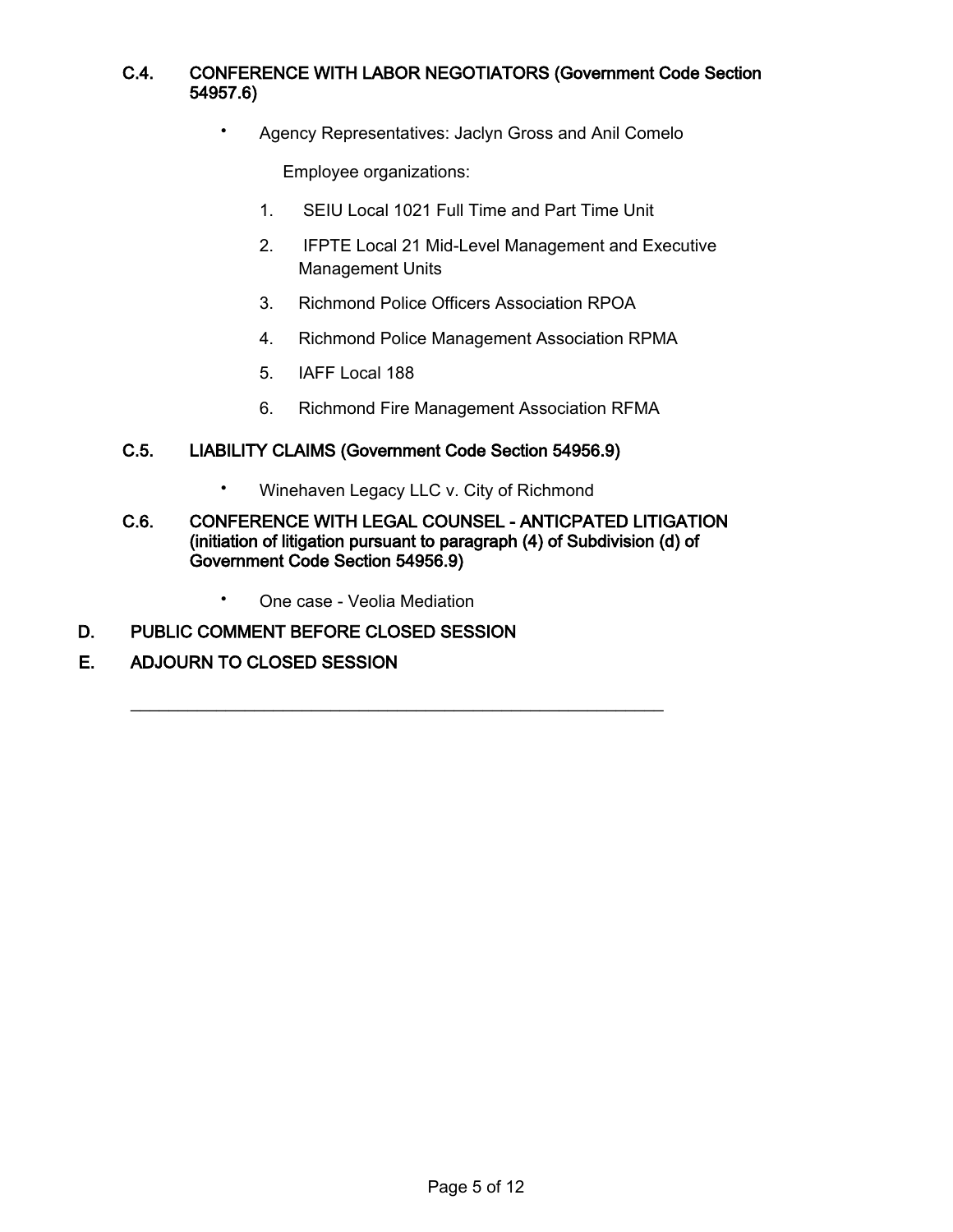## C.4. CONFERENCE WITH LABOR NEGOTIATORS (Government Code Section 54957.6)

• Agency Representatives: Jaclyn Gross and Anil Comelo

Employee organizations:

- 1. SEIU Local 1021 Full Time and Part Time Unit
- 2. IFPTE Local 21 Mid-Level Management and Executive Management Units
- 3. Richmond Police Officers Association RPOA
- 4. Richmond Police Management Association RPMA
- 5. IAFF Local 188
- 6. Richmond Fire Management Association RFMA

#### C.5. LIABILITY CLAIMS (Government Code Section 54956.9)

• Winehaven Legacy LLC v. City of Richmond

\_\_\_\_\_\_\_\_\_\_\_\_\_\_\_\_\_\_\_\_\_\_\_\_\_\_\_\_\_\_\_\_\_\_\_\_\_\_\_\_\_\_\_\_\_\_\_\_\_\_\_\_\_\_\_\_

#### C.6. CONFERENCE WITH LEGAL COUNSEL - ANTICPATED LITIGATION (initiation of litigation pursuant to paragraph (4) of Subdivision (d) of Government Code Section 54956.9)

• One case - Veolia Mediation

#### D. PUBLIC COMMENT BEFORE CLOSED SESSION

#### E. ADJOURN TO CLOSED SESSION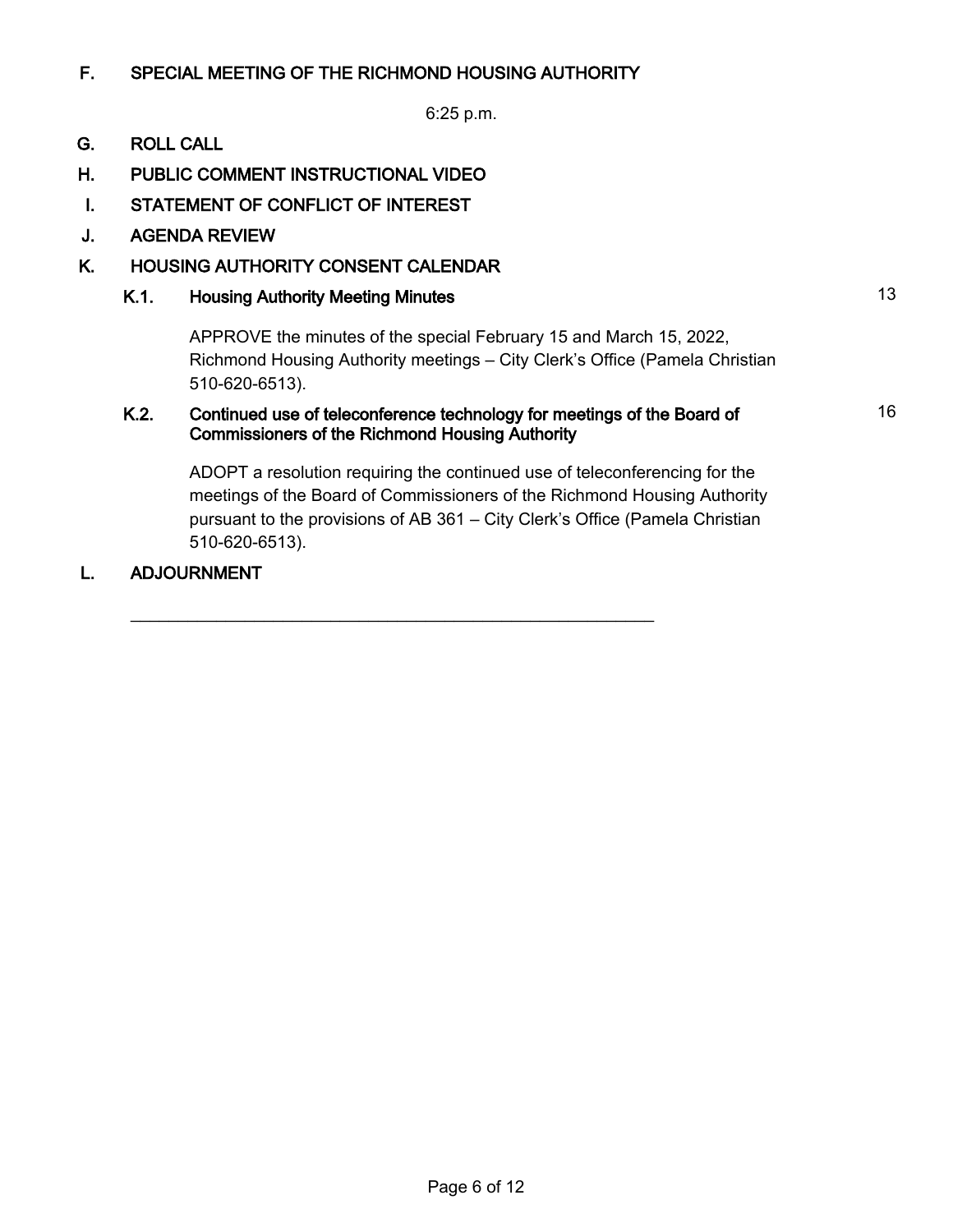## F. SPECIAL MEETING OF THE RICHMOND HOUSING AUTHORITY

6:25 p.m.

## G. ROLL CALL

- H. PUBLIC COMMENT INSTRUCTIONAL VIDEO
- I. STATEMENT OF CONFLICT OF INTEREST
- J. AGENDA REVIEW

## K. HOUSING AUTHORITY CONSENT CALENDAR

## K.1. Housing Authority Meeting Minutes **13** Authority Meeting Minutes **13**

APPROVE the minutes of the special February 15 and March 15, 2022, Richmond Housing Authority meetings – City Clerk's Office (Pamela Christian 510-620-6513).

#### K.2. Continued use of teleconference technology for meetings of the Board of Commissioners of the Richmond Housing Authority

\_\_\_\_\_\_\_\_\_\_\_\_\_\_\_\_\_\_\_\_\_\_\_\_\_\_\_\_\_\_\_\_\_\_\_\_\_\_\_\_\_\_\_\_\_\_\_\_\_\_\_\_\_\_\_

ADOPT a resolution requiring the continued use of teleconferencing for the meetings of the Board of Commissioners of the Richmond Housing Authority pursuant to the provisions of AB 361 – City Clerk's Office (Pamela Christian 510-620-6513).

#### L. ADJOURNMENT

16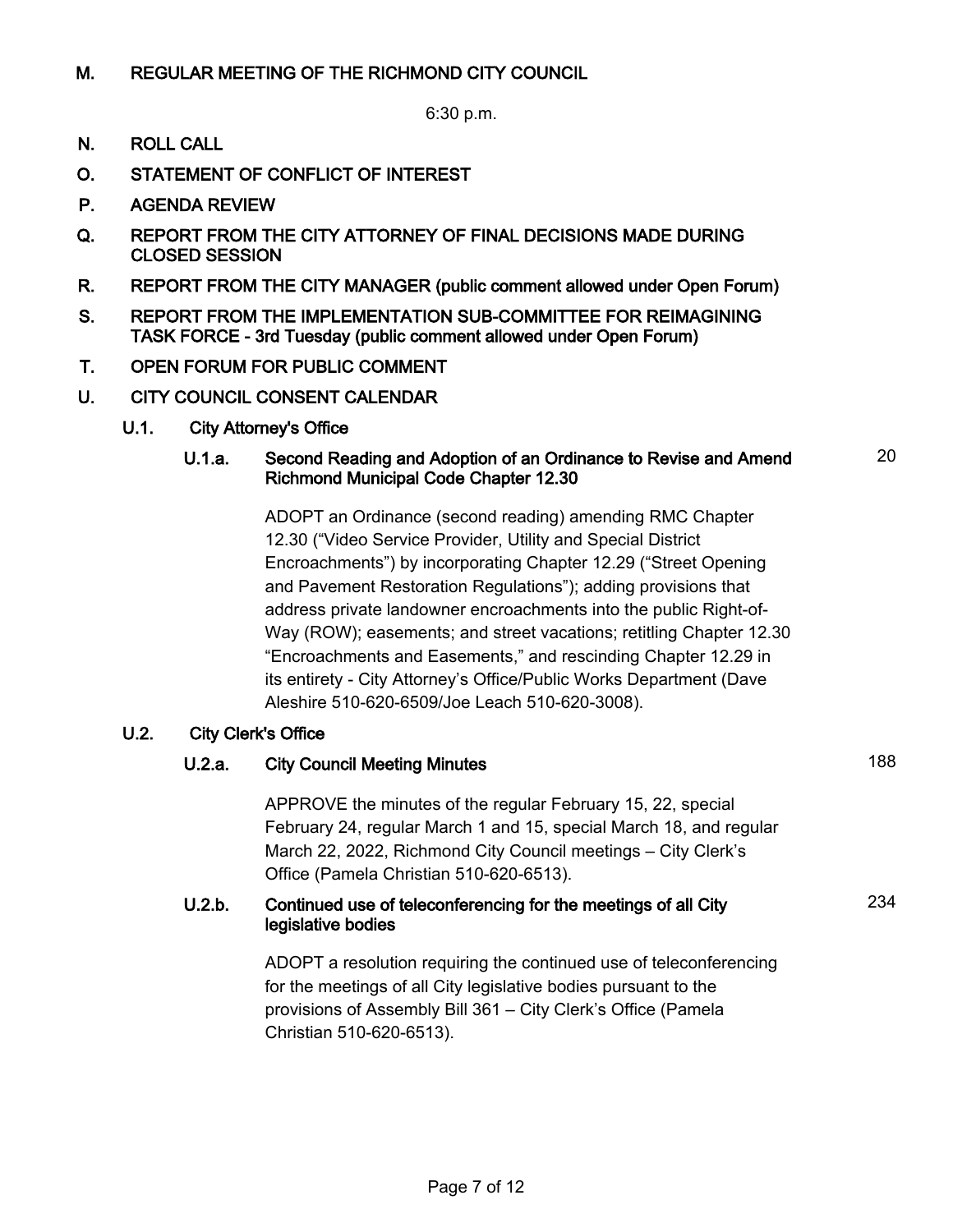## M. REGULAR MEETING OF THE RICHMOND CITY COUNCIL

6:30 p.m.

- N. ROLL CALL
- O. STATEMENT OF CONFLICT OF INTEREST
- P. AGENDA REVIEW
- Q. REPORT FROM THE CITY ATTORNEY OF FINAL DECISIONS MADE DURING CLOSED SESSION
- R. REPORT FROM THE CITY MANAGER (public comment allowed under Open Forum)
- S. REPORT FROM THE IMPLEMENTATION SUB-COMMITTEE FOR REIMAGINING TASK FORCE - 3rd Tuesday (public comment allowed under Open Forum)
- T. OPEN FORUM FOR PUBLIC COMMENT
- U. CITY COUNCIL CONSENT CALENDAR
	- U.1. City Attorney's Office

#### U.1.a. Second Reading and Adoption of an Ordinance to Revise and Amend Richmond Municipal Code Chapter 12.30

ADOPT an Ordinance (second reading) amending RMC Chapter 12.30 ("Video Service Provider, Utility and Special District Encroachments") by incorporating Chapter 12.29 ("Street Opening and Pavement Restoration Regulations"); adding provisions that address private landowner encroachments into the public Right-of-Way (ROW); easements; and street vacations; retitling Chapter 12.30 "Encroachments and Easements," and rescinding Chapter 12.29 in its entirety - City Attorney's Office/Public Works Department (Dave Aleshire 510-620-6509/Joe Leach 510-620-3008).

#### U.2. City Clerk's Office

## U.2.a. City Council Meeting Minutes 188

APPROVE the minutes of the regular February 15, 22, special February 24, regular March 1 and 15, special March 18, and regular March 22, 2022, Richmond City Council meetings – City Clerk's Office (Pamela Christian 510-620-6513).

#### U.2.b. Continued use of teleconferencing for the meetings of all City legislative bodies

ADOPT a resolution requiring the continued use of teleconferencing for the meetings of all City legislative bodies pursuant to the provisions of Assembly Bill 361 – City Clerk's Office (Pamela Christian 510-620-6513).

20

234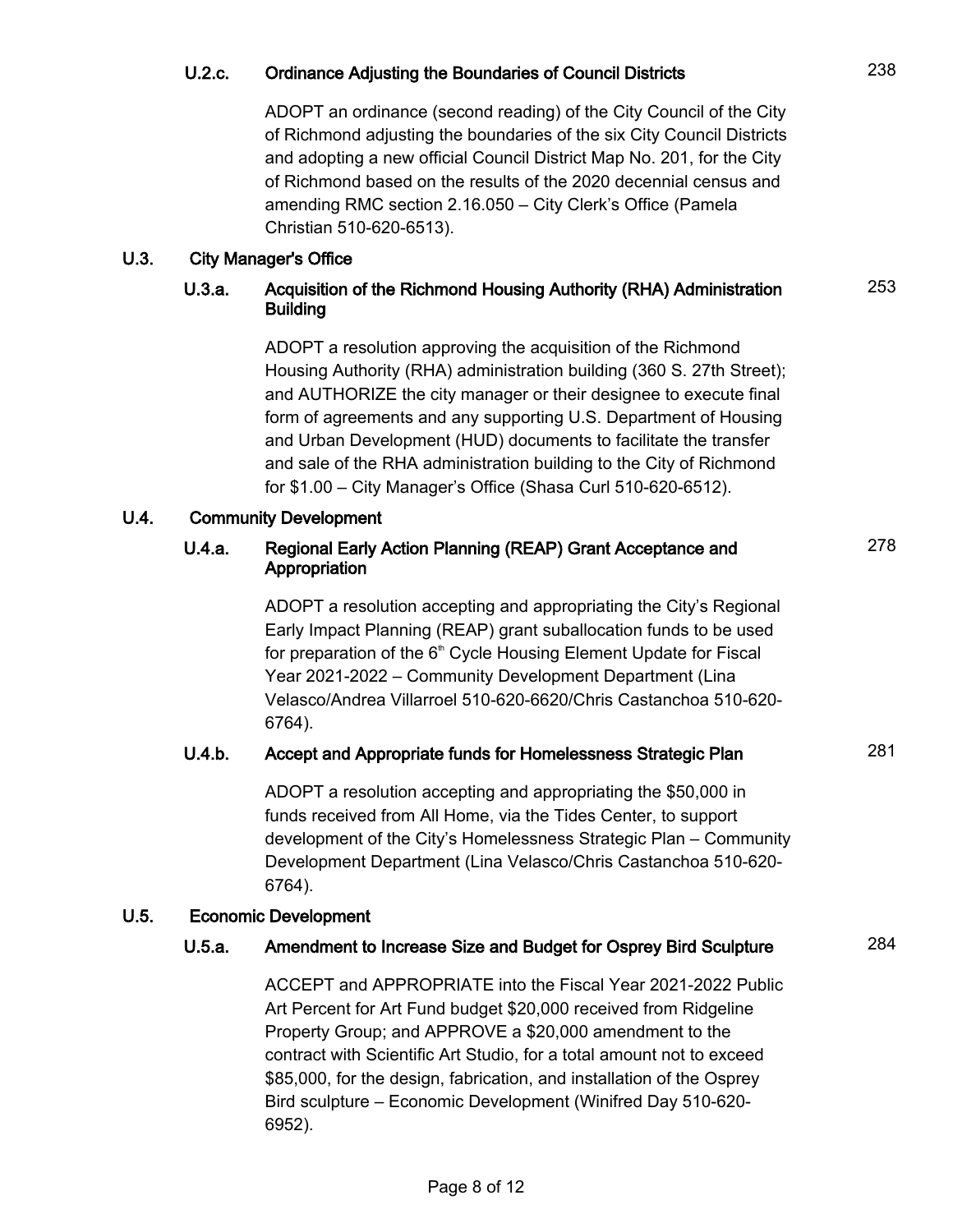## U.2.c. Ordinance Adjusting the Boundaries of Council Districts 238

ADOPT an ordinance (second reading) of the City Council of the City of Richmond adjusting the boundaries of the six City Council Districts and adopting a new official Council District Map No. 201, for the City of Richmond based on the results of the 2020 decennial census and amending RMC section 2.16.050 – City Clerk's Office (Pamela Christian 510-620-6513).

#### U.3. City Manager's Office

## U.3.a. Acquisition of the Richmond Housing Authority (RHA) Administration Building

ADOPT a resolution approving the acquisition of the Richmond Housing Authority (RHA) administration building (360 S. 27th Street); and AUTHORIZE the city manager or their designee to execute final form of agreements and any supporting U.S. Department of Housing and Urban Development (HUD) documents to facilitate the transfer and sale of the RHA administration building to the City of Richmond for \$1.00 – City Manager's Office (Shasa Curl 510-620-6512).

## U.4. Community Development

#### U.4.a. Regional Early Action Planning (REAP) Grant Acceptance and Appropriation

ADOPT a resolution accepting and appropriating the City's Regional Early Impact Planning (REAP) grant suballocation funds to be used for preparation of the  $6<sup>th</sup>$  Cycle Housing Element Update for Fiscal Year 2021-2022 – Community Development Department (Lina Velasco/Andrea Villarroel 510-620-6620/Chris Castanchoa 510-620- 6764).

## U.4.b. Accept and Appropriate funds for Homelessness Strategic Plan 281

ADOPT a resolution accepting and appropriating the \$50,000 in funds received from All Home, via the Tides Center, to support development of the City's Homelessness Strategic Plan – Community Development Department (Lina Velasco/Chris Castanchoa 510-620- 6764).

## U.5. Economic Development

## U.5.a. Amendment to Increase Size and Budget for Osprey Bird Sculpture 284

ACCEPT and APPROPRIATE into the Fiscal Year 2021-2022 Public Art Percent for Art Fund budget \$20,000 received from Ridgeline Property Group; and APPROVE a \$20,000 amendment to the contract with Scientific Art Studio, for a total amount not to exceed \$85,000, for the design, fabrication, and installation of the Osprey Bird sculpture – Economic Development (Winifred Day 510-620- 6952).

253

278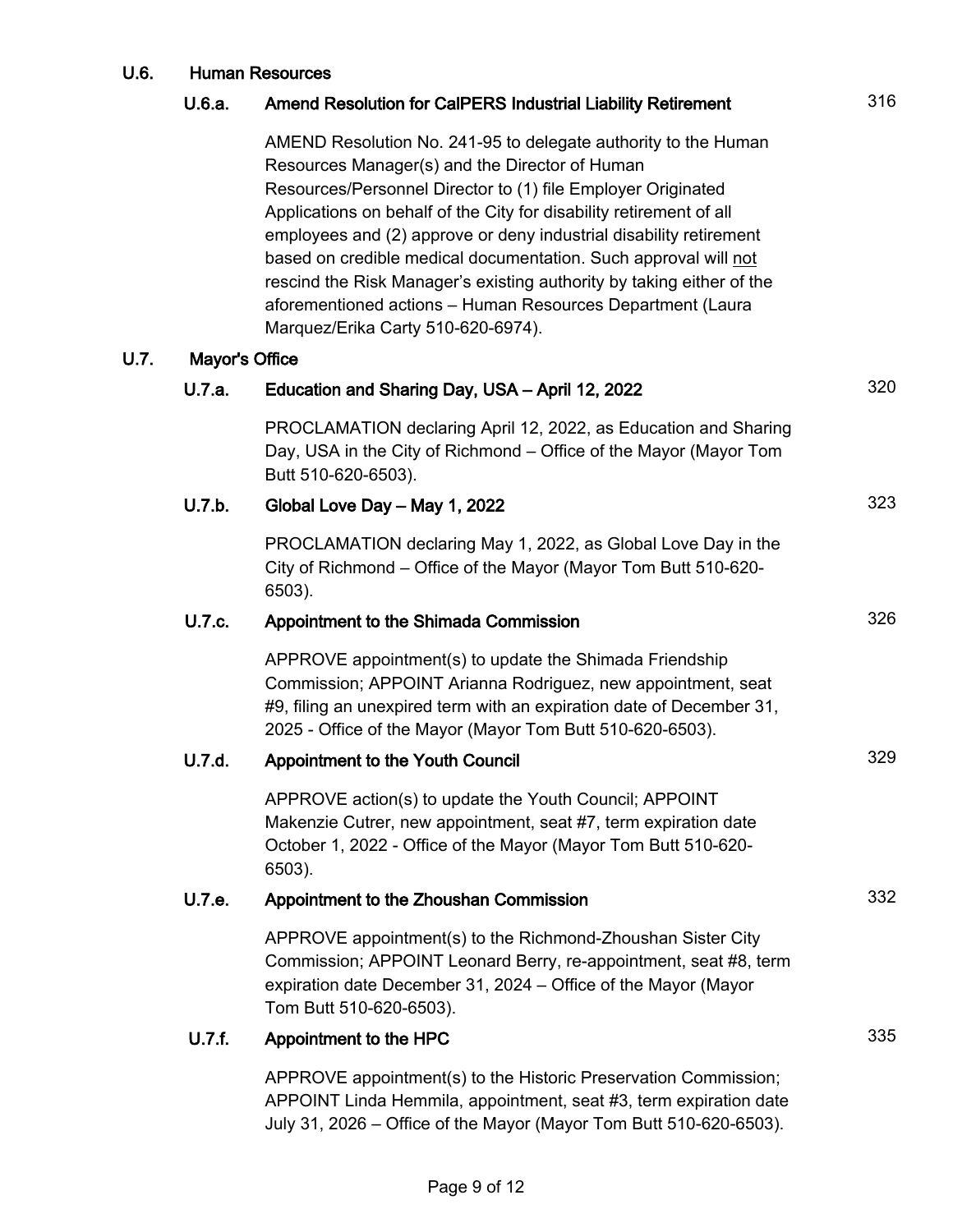# U.6. Human Resources U.6.a. Amend Resolution for CalPERS Industrial Liability Retirement 316 AMEND Resolution No. 241-95 to delegate authority to the Human Resources Manager(s) and the Director of Human Resources/Personnel Director to (1) file Employer Originated Applications on behalf of the City for disability retirement of all employees and (2) approve or deny industrial disability retirement based on credible medical documentation. Such approval will not rescind the Risk Manager's existing authority by taking either of the aforementioned actions – Human Resources Department (Laura Marquez/Erika Carty 510-620-6974). U.7. Mayor's Office U.7.a. Education and Sharing Day, USA – April 12, 2022 **1998** 320 PROCLAMATION declaring April 12, 2022, as Education and Sharing Day, USA in the City of Richmond – Office of the Mayor (Mayor Tom Butt 510-620-6503). U.7.b. Global Love Day – May 1, 2022  $323$ PROCLAMATION declaring May 1, 2022, as Global Love Day in the City of Richmond – Office of the Mayor (Mayor Tom Butt 510-620- 6503). U.7.c. Appointment to the Shimada Commission 326 APPROVE appointment(s) to update the Shimada Friendship Commission; APPOINT Arianna Rodriguez, new appointment, seat #9, filing an unexpired term with an expiration date of December 31, 2025 - Office of the Mayor (Mayor Tom Butt 510-620-6503). U.7.d. Appointment to the Youth Council 329 APPROVE action(s) to update the Youth Council; APPOINT Makenzie Cutrer, new appointment, seat #7, term expiration date October 1, 2022 - Office of the Mayor (Mayor Tom Butt 510-620- 6503). U.7.e. Appointment to the Zhoushan Commission 332 APPROVE appointment(s) to the Richmond-Zhoushan Sister City Commission; APPOINT Leonard Berry, re-appointment, seat #8, term expiration date December 31, 2024 – Office of the Mayor (Mayor Tom Butt 510-620-6503). U.7.f. Appointment to the HPC 335 APPROVE appointment(s) to the Historic Preservation Commission;

APPOINT Linda Hemmila, appointment, seat #3, term expiration date July 31, 2026 – Office of the Mayor (Mayor Tom Butt 510-620-6503).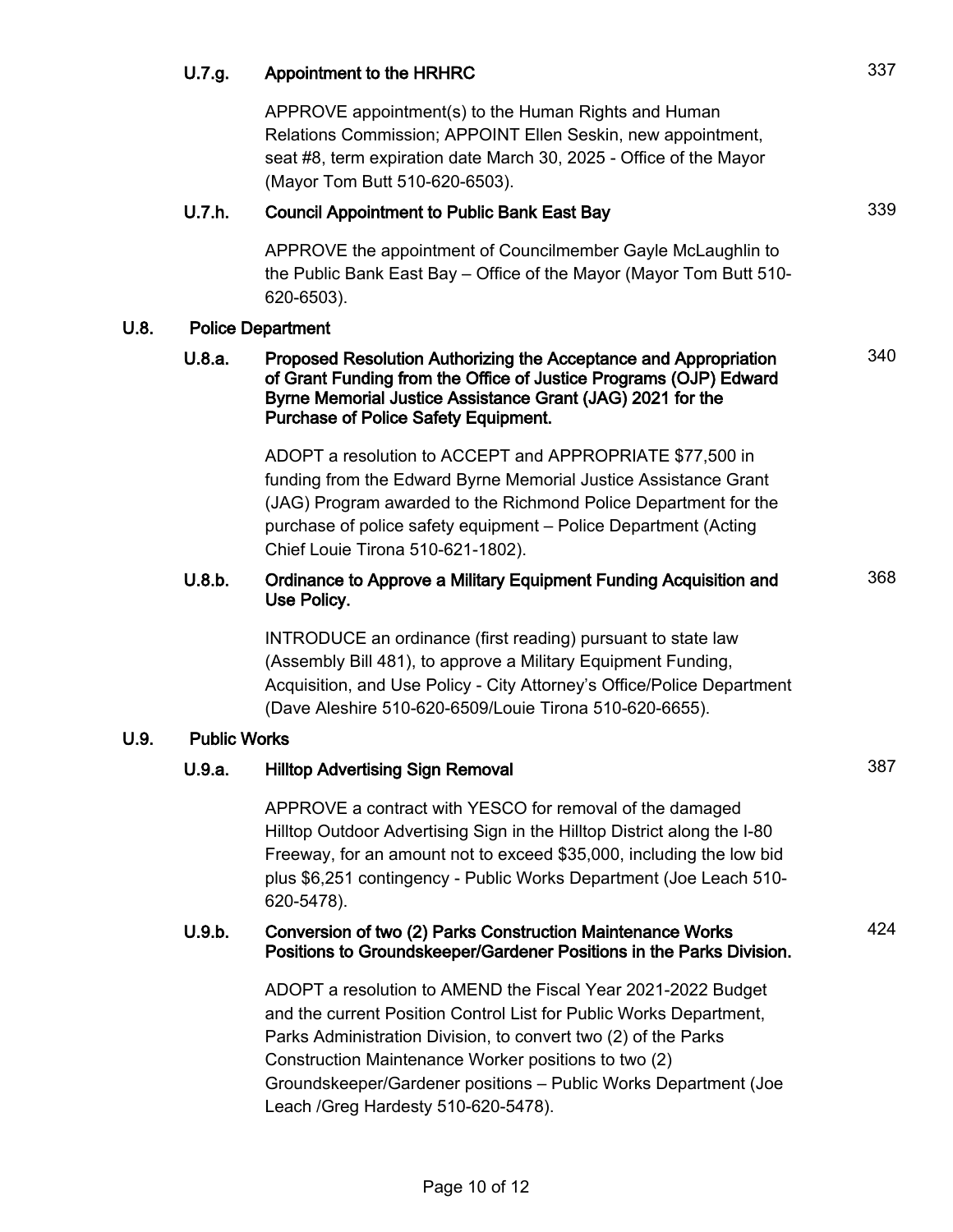# U.7.g. Appointment to the HRHRC 337 APPROVE appointment(s) to the Human Rights and Human Relations Commission; APPOINT Ellen Seskin, new appointment, seat #8, term expiration date March 30, 2025 - Office of the Mayor (Mayor Tom Butt 510-620-6503). U.7.h. Council Appointment to Public Bank East Bay **Council Appointment** to Public Bank East Bay APPROVE the appointment of Councilmember Gayle McLaughlin to the Public Bank East Bay – Office of the Mayor (Mayor Tom Butt 510- 620-6503). U.8. Police Department U.8.a. Proposed Resolution Authorizing the Acceptance and Appropriation of Grant Funding from the Office of Justice Programs (OJP) Edward Byrne Memorial Justice Assistance Grant (JAG) 2021 for the Purchase of Police Safety Equipment. 340 ADOPT a resolution to ACCEPT and APPROPRIATE \$77,500 in funding from the Edward Byrne Memorial Justice Assistance Grant (JAG) Program awarded to the Richmond Police Department for the purchase of police safety equipment – Police Department (Acting Chief Louie Tirona 510-621-1802). U.8.b. Ordinance to Approve a Military Equipment Funding Acquisition and Use Policy. 368 INTRODUCE an ordinance (first reading) pursuant to state law (Assembly Bill 481), to approve a Military Equipment Funding, Acquisition, and Use Policy - City Attorney's Office/Police Department (Dave Aleshire 510-620-6509/Louie Tirona 510-620-6655). U.9. Public Works U.9.a. Hilltop Advertising Sign Removal 387 APPROVE a contract with YESCO for removal of the damaged Hilltop Outdoor Advertising Sign in the Hilltop District along the I-80 Freeway, for an amount not to exceed \$35,000, including the low bid plus \$6,251 contingency - Public Works Department (Joe Leach 510- 620-5478). U.9.b. Conversion of two (2) Parks Construction Maintenance Works Positions to Groundskeeper/Gardener Positions in the Parks Division. 424 ADOPT a resolution to AMEND the Fiscal Year 2021-2022 Budget and the current Position Control List for Public Works Department, Parks Administration Division, to convert two (2) of the Parks Construction Maintenance Worker positions to two (2) Groundskeeper/Gardener positions – Public Works Department (Joe Leach /Greg Hardesty 510-620-5478).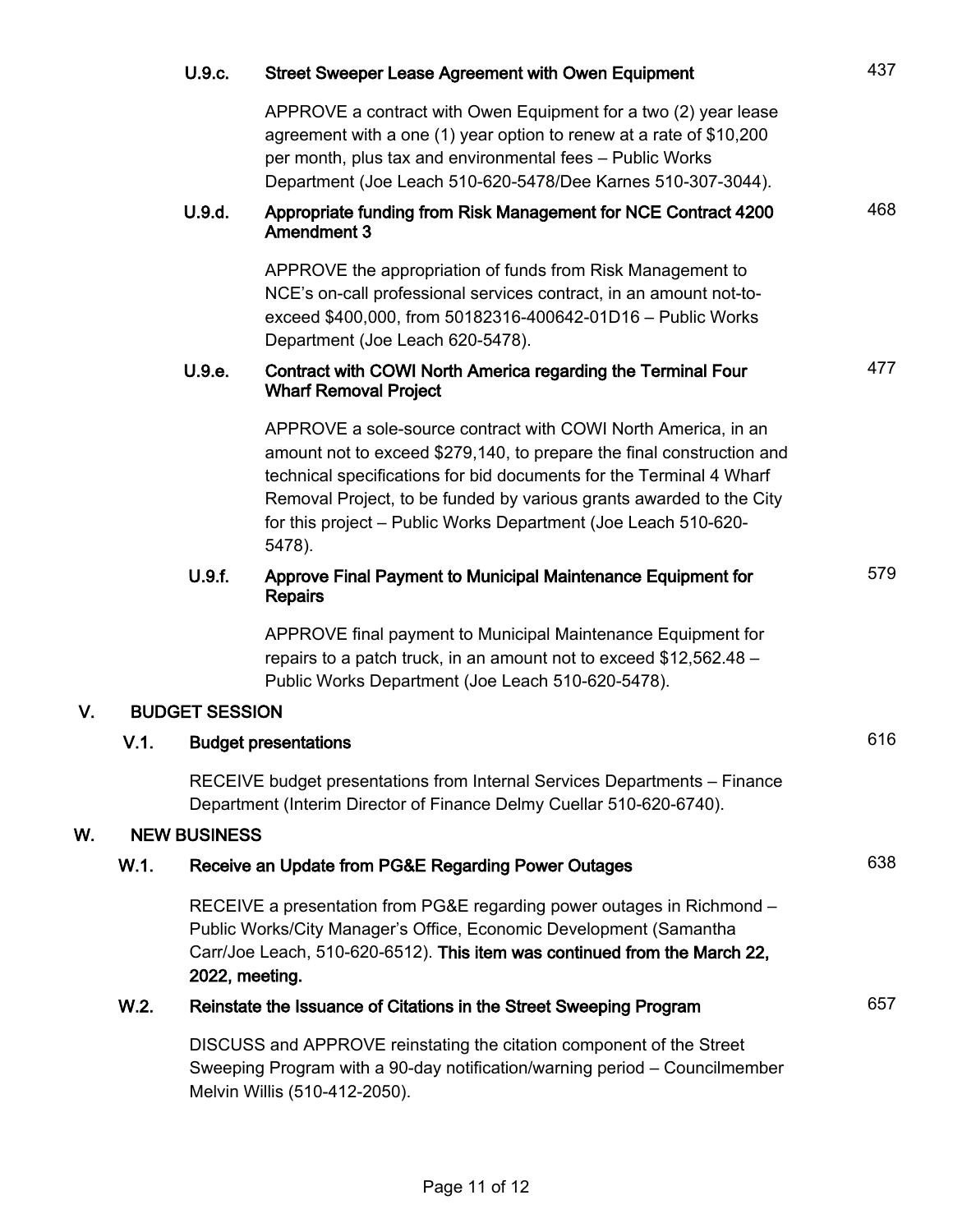|    |                                     | U.9.c.                                                                                                                                                                                                                                      | <b>Street Sweeper Lease Agreement with Owen Equipment</b>                                                                                                                                                                                                                                                                                                        | 437 |
|----|-------------------------------------|---------------------------------------------------------------------------------------------------------------------------------------------------------------------------------------------------------------------------------------------|------------------------------------------------------------------------------------------------------------------------------------------------------------------------------------------------------------------------------------------------------------------------------------------------------------------------------------------------------------------|-----|
|    |                                     |                                                                                                                                                                                                                                             | APPROVE a contract with Owen Equipment for a two (2) year lease<br>agreement with a one (1) year option to renew at a rate of \$10,200<br>per month, plus tax and environmental fees - Public Works<br>Department (Joe Leach 510-620-5478/Dee Karnes 510-307-3044).                                                                                              |     |
|    |                                     | U.9.d.                                                                                                                                                                                                                                      | Appropriate funding from Risk Management for NCE Contract 4200<br><b>Amendment 3</b>                                                                                                                                                                                                                                                                             | 468 |
|    |                                     |                                                                                                                                                                                                                                             | APPROVE the appropriation of funds from Risk Management to<br>NCE's on-call professional services contract, in an amount not-to-<br>exceed \$400,000, from 50182316-400642-01D16 - Public Works<br>Department (Joe Leach 620-5478).                                                                                                                              |     |
|    |                                     | U.9.e.                                                                                                                                                                                                                                      | Contract with COWI North America regarding the Terminal Four<br><b>Wharf Removal Project</b>                                                                                                                                                                                                                                                                     | 477 |
|    |                                     |                                                                                                                                                                                                                                             | APPROVE a sole-source contract with COWI North America, in an<br>amount not to exceed \$279,140, to prepare the final construction and<br>technical specifications for bid documents for the Terminal 4 Wharf<br>Removal Project, to be funded by various grants awarded to the City<br>for this project - Public Works Department (Joe Leach 510-620-<br>5478). |     |
|    |                                     | U.9.f.                                                                                                                                                                                                                                      | Approve Final Payment to Municipal Maintenance Equipment for<br><b>Repairs</b>                                                                                                                                                                                                                                                                                   | 579 |
|    |                                     |                                                                                                                                                                                                                                             | APPROVE final payment to Municipal Maintenance Equipment for<br>repairs to a patch truck, in an amount not to exceed \$12,562.48 -<br>Public Works Department (Joe Leach 510-620-5478).                                                                                                                                                                          |     |
| V. |                                     | <b>BUDGET SESSION</b>                                                                                                                                                                                                                       |                                                                                                                                                                                                                                                                                                                                                                  |     |
|    | V.1.<br><b>Budget presentations</b> |                                                                                                                                                                                                                                             |                                                                                                                                                                                                                                                                                                                                                                  | 616 |
|    |                                     | RECEIVE budget presentations from Internal Services Departments - Finance<br>Department (Interim Director of Finance Delmy Cuellar 510-620-6740).                                                                                           |                                                                                                                                                                                                                                                                                                                                                                  |     |
| N. |                                     | <b>NEW BUSINESS</b>                                                                                                                                                                                                                         |                                                                                                                                                                                                                                                                                                                                                                  |     |
|    | W.1.                                | Receive an Update from PG&E Regarding Power Outages                                                                                                                                                                                         |                                                                                                                                                                                                                                                                                                                                                                  | 638 |
|    |                                     | RECEIVE a presentation from PG&E regarding power outages in Richmond –<br>Public Works/City Manager's Office, Economic Development (Samantha<br>Carr/Joe Leach, 510-620-6512). This item was continued from the March 22,<br>2022, meeting. |                                                                                                                                                                                                                                                                                                                                                                  |     |
|    | W.2.                                | Reinstate the Issuance of Citations in the Street Sweeping Program                                                                                                                                                                          |                                                                                                                                                                                                                                                                                                                                                                  | 657 |
|    |                                     | DISCUSS and APPROVE reinstating the citation component of the Street<br>Sweeping Program with a 90-day notification/warning period - Councilmember<br>Melvin Willis (510-412-2050).                                                         |                                                                                                                                                                                                                                                                                                                                                                  |     |

 $W$ .